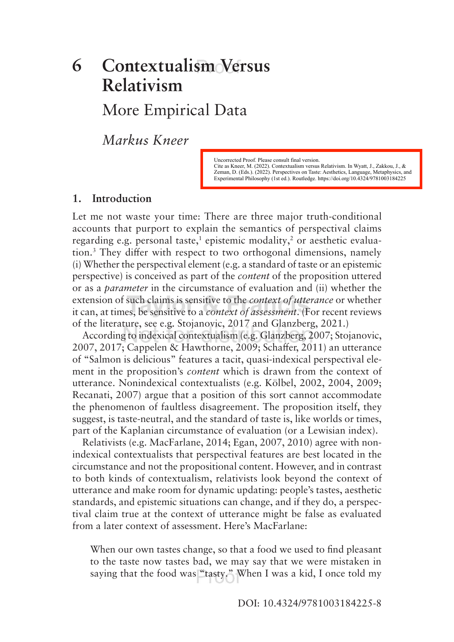## **Contextualism Versus Relativism** More Empirical Data **6**

*Markus Kneer*

Uncorrected Proof. Please consult final version. Cite as Kneer, M. (2022). Contextualism versus Relativism. In Wyatt, J., Zakkou, J., & Zeman, D. (Eds.). (2022). Perspectives on Taste: Aesthetics, Language, Metaphysics, and Experimental Philosophy (1st ed.). Routledge. https://doi.org/10.4324/9781003184225

#### **1. Introduction**

Let me not waste your time: There are three major truth-conditional accounts that purport to explain the semantics of perspectival claims regarding e.g. personal taste,<sup>1</sup> epistemic modality,<sup>2</sup> or aesthetic evaluation.3 They difer with respect to two orthogonal dimensions, namely (i) Whether the perspectival element (e.g. a standard of taste or an epistemic perspective) is conceived as part of the *content* of the proposition uttered or as a *parameter* in the circumstance of evaluation and (ii) whether the extension of such claims is sensitive to the *context of utterance* or whether it can, at times, be sensitive to a *context of assessment*. (For recent reviews of the literature, see e.g. Stojanovic, 2017 and Glanzberg, 2021.)

According to indexical contextualism (e.g. Glanzberg, 2007; Stojanovic, 2007, 2017; Cappelen & Hawthorne, 2009; Schafer, 2011) an utterance of "Salmon is delicious" features a tacit, quasi-indexical perspectival element in the proposition's *content* which is drawn from the context of utterance. Nonindexical contextualists (e.g. Kölbel, 2002, 2004, 2009; Recanati, 2007) argue that a position of this sort cannot accommodate the phenomenon of faultless disagreement. The proposition itself, they suggest, is taste-neutral, and the standard of taste is, like worlds or times, part of the Kaplanian circumstance of evaluation (or a Lewisian index).

Relativists (e.g. MacFarlane, 2014; Egan, 2007, 2010) agree with nonindexical contextualists that perspectival features are best located in the circumstance and not the propositional content. However, and in contrast to both kinds of contextualism, relativists look beyond the context of utterance and make room for dynamic updating: people's tastes, aesthetic standards, and epistemic situations can change, and if they do, a perspectival claim true at the context of utterance might be false as evaluated from a later context of assessment. Here's MacFarlane:

When our own tastes change, so that a food we used to find pleasant to the taste now tastes bad, we may say that we were mistaken in saying that the food was "tasty." When I was a kid, I once told my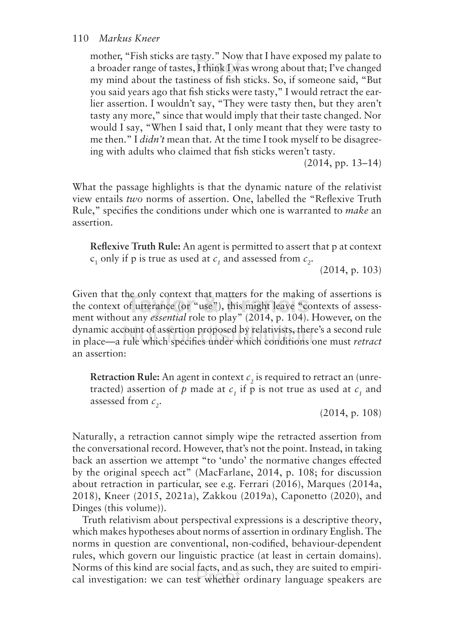mother, "Fish sticks are tasty." Now that I have exposed my palate to a broader range of tastes, I think I was wrong about that; I've changed my mind about the tastiness of fish sticks. So, if someone said, "But you said years ago that fish sticks were tasty," I would retract the earlier assertion. I wouldn't say, "They were tasty then, but they aren't tasty any more," since that would imply that their taste changed. Nor would I say, "When I said that, I only meant that they were tasty to me then." I *didn't* mean that. At the time I took myself to be disagreeing with adults who claimed that fish sticks weren't tasty.

(2014, pp. 13–14)

What the passage highlights is that the dynamic nature of the relativist view entails *two* norms of assertion. One, labelled the "Reflexive Truth Rule," specifies the conditions under which one is warranted to *make* an assertion.

**Reflexive Truth Rule:** An agent is permitted to assert that p at context  $c_1$  only if p is true as used at  $c_1$  and assessed from  $c_2$ .

(2014, p. 103)

Given that the only context that matters for the making of assertions is the context of utterance (or "use"), this might leave "contexts of assessment without any *essential* role to play" (2014, p. 104). However, on the dynamic account of assertion proposed by relativists, there's a second rule in place—a rule which specifies under which conditions one must *retract* an assertion:

**Retraction Rule:** An agent in context  $c_2$  is required to retract an (unretracted) assertion of  $p$  made at  $c<sub>1</sub>$  if  $p$  is not true as used at  $c<sub>1</sub>$  and assessed from  $c_{2}$ .

(2014, p. 108)

Naturally, a retraction cannot simply wipe the retracted assertion from the conversational record. However, that's not the point. Instead, in taking back an assertion we attempt "to 'undo' the normative changes efected by the original speech act" (MacFarlane, 2014, p. 108; for discussion about retraction in particular, see e.g. Ferrari (2016), Marques (2014a, 2018), Kneer (2015, 2021a), Zakkou (2019a), Caponetto (2020), and Dinges (this volume)).

Truth relativism about perspectival expressions is a descriptive theory, which makes hypotheses about norms of assertion in ordinary English. The norms in question are conventional, non-codified, behaviour-dependent rules, which govern our linguistic practice (at least in certain domains). Norms of this kind are social facts, and as such, they are suited to empirical investigation: we can test whether ordinary language speakers are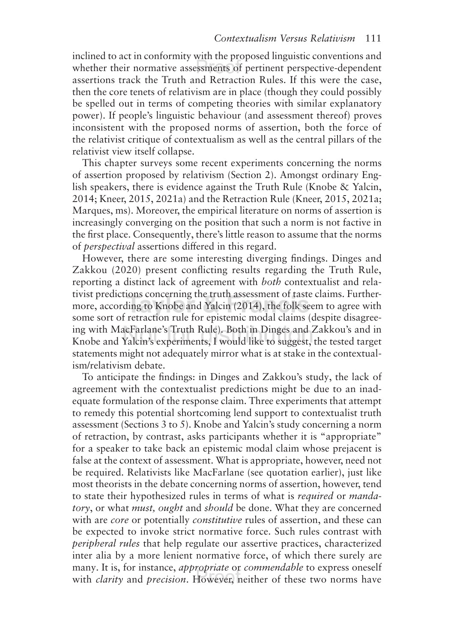inclined to act in conformity with the proposed linguistic conventions and whether their normative assessments of pertinent perspective-dependent assertions track the Truth and Retraction Rules. If this were the case, then the core tenets of relativism are in place (though they could possibly be spelled out in terms of competing theories with similar explanatory power). If people's linguistic behaviour (and assessment thereof) proves inconsistent with the proposed norms of assertion, both the force of the relativist critique of contextualism as well as the central pillars of the relativist view itself collapse.

This chapter surveys some recent experiments concerning the norms of assertion proposed by relativism (Section 2). Amongst ordinary English speakers, there is evidence against the Truth Rule (Knobe & Yalcin, 2014; Kneer, 2015, 2021a) and the Retraction Rule (Kneer, 2015, 2021a; Marques, ms). Moreover, the empirical literature on norms of assertion is increasingly converging on the position that such a norm is not factive in the first place. Consequently, there's little reason to assume that the norms of *perspectival* assertions difered in this regard.

However, there are some interesting diverging findings. Dinges and Zakkou (2020) present conflicting results regarding the Truth Rule, reporting a distinct lack of agreement with *both* contextualist and relativist predictions concerning the truth assessment of taste claims. Furthermore, according to Knobe and Yalcin (2014), the folk seem to agree with some sort of retraction rule for epistemic modal claims (despite disagreeing with MacFarlane's Truth Rule). Both in Dinges and Zakkou's and in Knobe and Yalcin's experiments, I would like to suggest, the tested target statements might not adequately mirror what is at stake in the contextualism/relativism debate.

To anticipate the findings: in Dinges and Zakkou's study, the lack of agreement with the contextualist predictions might be due to an inadequate formulation of the response claim. Three experiments that attempt to remedy this potential shortcoming lend support to contextualist truth assessment (Sections 3 to 5). Knobe and Yalcin's study concerning a norm of retraction, by contrast, asks participants whether it is "appropriate" for a speaker to take back an epistemic modal claim whose prejacent is false at the context of assessment. What is appropriate, however, need not be required. Relativists like MacFarlane (see quotation earlier), just like most theorists in the debate concerning norms of assertion, however, tend to state their hypothesized rules in terms of what is *required* or *mandatory*, or what *must, ought* and *should* be done. What they are concerned with are *core* or potentially *constitutive* rules of assertion, and these can be expected to invoke strict normative force. Such rules contrast with *peripheral rules* that help regulate our assertive practices, characterized inter alia by a more lenient normative force, of which there surely are many. It is, for instance, *appropriate* or *commendable* to express oneself with *clarity* and *precision*. However, neither of these two norms have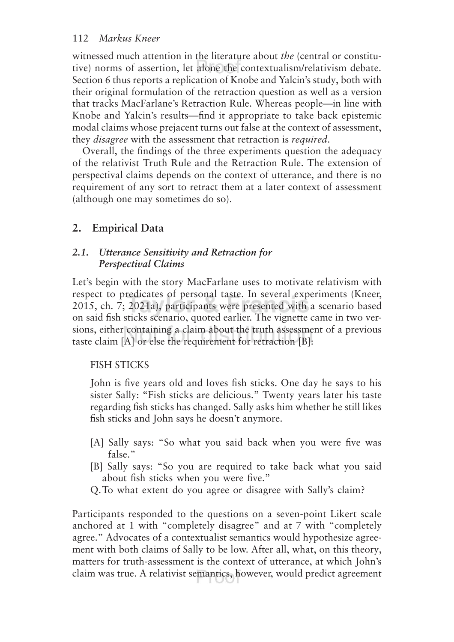witnessed much attention in the literature about *the* (central or constitutive) norms of assertion, let alone the contextualism/relativism debate. Section 6 thus reports a replication of Knobe and Yalcin's study, both with their original formulation of the retraction question as well as a version that tracks MacFarlane's Retraction Rule. Whereas people—in line with Knobe and Yalcin's results—find it appropriate to take back epistemic modal claims whose prejacent turns out false at the context of assessment, they *disagree* with the assessment that retraction is *required*.

Overall, the findings of the three experiments question the adequacy of the relativist Truth Rule and the Retraction Rule. The extension of perspectival claims depends on the context of utterance, and there is no requirement of any sort to retract them at a later context of assessment (although one may sometimes do so).

## **2. Empirical Data**

## *2.1. Utterance Sensitivity and Retraction for Perspectival Claims*

Let's begin with the story MacFarlane uses to motivate relativism with respect to predicates of personal taste. In several experiments (Kneer, 2015, ch. 7; 2021a), participants were presented with a scenario based on said fish sticks scenario, quoted earlier. The vignette came in two versions, either containing a claim about the truth assessment of a previous taste claim [A] or else the requirement for retraction [B]:

## FISH STICKS

John is five years old and loves fish sticks. One day he says to his sister Sally: "Fish sticks are delicious." Twenty years later his taste regarding fish sticks has changed. Sally asks him whether he still likes fish sticks and John says he doesn't anymore.

- [A] Sally says: "So what you said back when you were five was false."
- [B] Sally says: "So you are required to take back what you said about fish sticks when you were five."
- Q.To what extent do you agree or disagree with Sally's claim?

Participants responded to the questions on a seven-point Likert scale anchored at 1 with "completely disagree" and at 7 with "completely agree." Advocates of a contextualist semantics would hypothesize agreement with both claims of Sally to be low. After all, what, on this theory, matters for truth-assessment is the context of utterance, at which John's claim was true. A relativist semantics, however, would predict agreement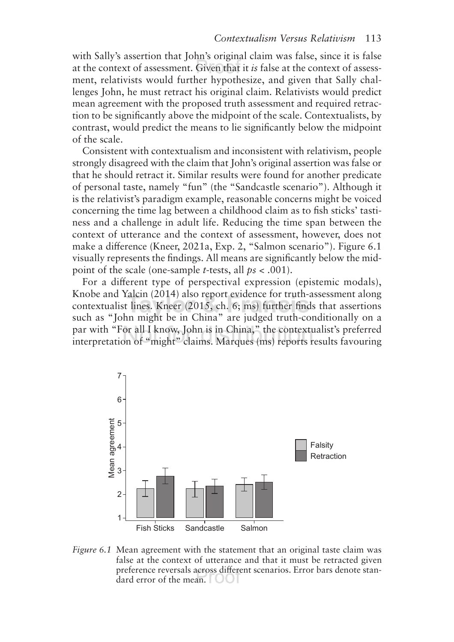with Sally's assertion that John's original claim was false, since it is false at the context of assessment. Given that it *is* false at the context of assessment, relativists would further hypothesize, and given that Sally challenges John, he must retract his original claim. Relativists would predict mean agreement with the proposed truth assessment and required retraction to be significantly above the midpoint of the scale. Contextualists, by contrast, would predict the means to lie significantly below the midpoint of the scale.

Consistent with contextualism and inconsistent with relativism, people strongly disagreed with the claim that John's original assertion was false or that he should retract it. Similar results were found for another predicate of personal taste, namely "fun" (the "Sandcastle scenario"). Although it is the relativist's paradigm example, reasonable concerns might be voiced concerning the time lag between a childhood claim as to fish sticks' tastiness and a challenge in adult life. Reducing the time span between the context of utterance and the context of assessment, however, does not make a diference (Kneer, 2021a, Exp. 2, "Salmon scenario"). Figure 6.1 visually represents the findings. All means are significantly below the midpoint of the scale (one-sample *t*-tests, all *ps* < .001).

For a diferent type of perspectival expression (epistemic modals), Knobe and Yalcin (2014) also report evidence for truth-assessment along contextualist lines. Kneer (2015, ch. 6; ms) further finds that assertions such as "John might be in China" are judged truth-conditionally on a par with "For all I know, John is in China," the contextualist's preferred interpretation of "might" claims. Marques (ms) reports results favouring



*Figure 6.1* Mean agreement with the statement that an original taste claim was false at the context of utterance and that it must be retracted given preference reversals across diferent scenarios. Error bars denote standard error of the mean.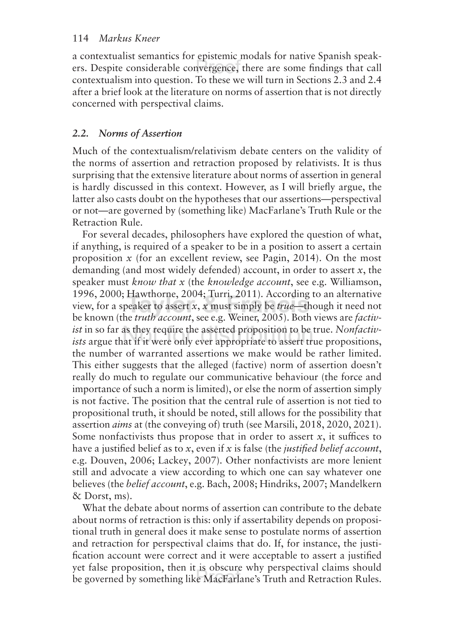a contextualist semantics for epistemic modals for native Spanish speakers. Despite considerable convergence, there are some findings that call contextualism into question. To these we will turn in Sections 2.3 and 2.4 after a brief look at the literature on norms of assertion that is not directly concerned with perspectival claims.

## *2.2. Norms of Assertion*

Much of the contextualism/relativism debate centers on the validity of the norms of assertion and retraction proposed by relativists. It is thus surprising that the extensive literature about norms of assertion in general is hardly discussed in this context. However, as I will briefly argue, the latter also casts doubt on the hypotheses that our assertions—perspectival or not—are governed by (something like) MacFarlane's Truth Rule or the Retraction Rule.

For several decades, philosophers have explored the question of what, if anything, is required of a speaker to be in a position to assert a certain proposition *x* (for an excellent review, see Pagin, 2014). On the most demanding (and most widely defended) account, in order to assert *x*, the speaker must *know that x* (the *knowledge account*, see e.g. Williamson, 1996, 2000; Hawthorne, 2004; Turri, 2011). According to an alternative view, for a speaker to assert *x*, *x* must simply be *true*—though it need not be known (the *truth account*, see e.g. Weiner, 2005). Both views are *factivist* in so far as they require the asserted proposition to be true. *Nonfactivists* argue that if it were only ever appropriate to assert true propositions, the number of warranted assertions we make would be rather limited. This either suggests that the alleged (factive) norm of assertion doesn't really do much to regulate our communicative behaviour (the force and importance of such a norm is limited), or else the norm of assertion simply is not factive. The position that the central rule of assertion is not tied to propositional truth, it should be noted, still allows for the possibility that assertion *aims* at (the conveying of) truth (see Marsili, 2018, 2020, 2021). Some nonfactivists thus propose that in order to assert  $x$ , it suffices to have a justified belief as to *x*, even if *x* is false (the *justified belief account*, e.g. Douven, 2006; Lackey, 2007). Other nonfactivists are more lenient still and advocate a view according to which one can say whatever one believes (the *belief account*, e.g. Bach, 2008; Hindriks, 2007; Mandelkern & Dorst, ms).

What the debate about norms of assertion can contribute to the debate about norms of retraction is this: only if assertability depends on propositional truth in general does it make sense to postulate norms of assertion and retraction for perspectival claims that do. If, for instance, the justification account were correct and it were acceptable to assert a justified yet false proposition, then it is obscure why perspectival claims should be governed by something like MacFarlane's Truth and Retraction Rules.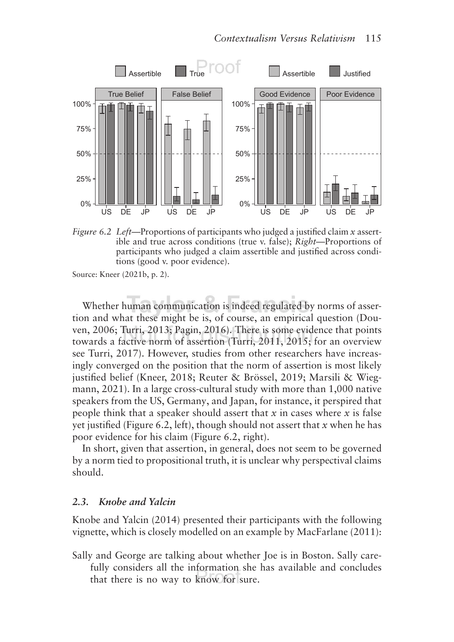

*Figure 6.2 Left—*Proportions of participants who judged a justified claim *x* assertible and true across conditions (true v. false); *Right*—Proportions of participants who judged a claim assertible and justified across conditions (good v. poor evidence).

Source: Kneer (2021b, p. 2).

Whether human communication is indeed regulated by norms of assertion and what these might be is, of course, an empirical question (Douven, 2006; Turri, 2013; Pagin, 2016). There is some evidence that points towards a factive norm of assertion (Turri, 2011, 2015; for an overview see Turri, 2017). However, studies from other researchers have increasingly converged on the position that the norm of assertion is most likely justified belief (Kneer, 2018; Reuter & Brössel, 2019; Marsili & Wiegmann, 2021). In a large cross-cultural study with more than 1,000 native speakers from the US, Germany, and Japan, for instance, it perspired that people think that a speaker should assert that *x* in cases where *x* is false yet justified (Figure 6.2, left), though should not assert that *x* when he has poor evidence for his claim (Figure 6.2, right).

In short, given that assertion, in general, does not seem to be governed by a norm tied to propositional truth, it is unclear why perspectival claims should.

#### *2.3. Knobe and Yalcin*

Knobe and Yalcin (2014) presented their participants with the following vignette, which is closely modelled on an example by MacFarlane (2011):

Sally and George are talking about whether Joe is in Boston. Sally carefully considers all the information she has available and concludes that there is no way to know for sure.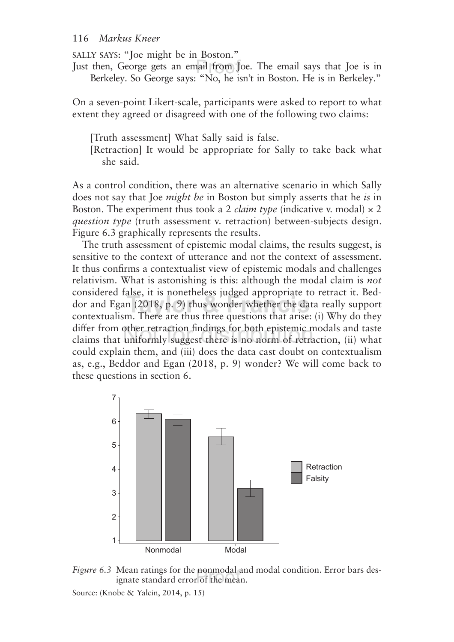SALLY SAYS: "Joe might be in Boston."

Just then, George gets an email from Joe. The email says that Joe is in Berkeley. So George says: "No, he isn't in Boston. He is in Berkeley."

On a seven-point Likert-scale, participants were asked to report to what extent they agreed or disagreed with one of the following two claims:

[Truth assessment] What Sally said is false.

[Retraction] It would be appropriate for Sally to take back what she said.

As a control condition, there was an alternative scenario in which Sally does not say that Joe *might be* in Boston but simply asserts that he *is* in Boston. The experiment thus took a 2 *claim type* (indicative v. modal)  $\times$  2 *question type* (truth assessment v. retraction) between-subjects design. Figure 6.3 graphically represents the results.

The truth assessment of epistemic modal claims, the results suggest, is sensitive to the context of utterance and not the context of assessment. It thus confirms a contextualist view of epistemic modals and challenges relativism. What is astonishing is this: although the modal claim is *not* considered false, it is nonetheless judged appropriate to retract it. Beddor and Egan (2018, p. 9) thus wonder whether the data really support contextualism. There are thus three questions that arise: (i) Why do they difer from other retraction findings for both epistemic modals and taste claims that uniformly suggest there is no norm of retraction, (ii) what could explain them, and (iii) does the data cast doubt on contextualism as, e.g., Beddor and Egan (2018, p. 9) wonder? We will come back to these questions in section 6.



*Figure 6.3* Mean ratings for the nonmodal and modal condition. Error bars designate standard error of the mean.

Source: (Knobe & Yalcin, 2014, p. 15)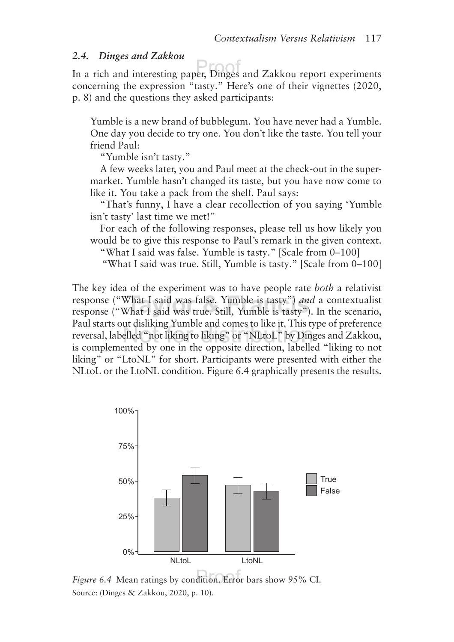#### *2.4. Dinges and Zakkou*

Drr In a rich and interesting paper, Dinges and Zakkou report experiments concerning the expression "tasty." Here's one of their vignettes (2020, p. 8) and the questions they asked participants:

Yumble is a new brand of bubblegum. You have never had a Yumble. One day you decide to try one. You don't like the taste. You tell your friend Paul:

"Yumble isn't tasty."

A few weeks later, you and Paul meet at the check-out in the supermarket. Yumble hasn't changed its taste, but you have now come to like it. You take a pack from the shelf. Paul says:

"That's funny, I have a clear recollection of you saying 'Yumble isn't tasty' last time we met!"

For each of the following responses, please tell us how likely you would be to give this response to Paul's remark in the given context.

"What I said was false. Yumble is tasty." [Scale from 0–100] "What I said was true. Still, Yumble is tasty." [Scale from 0–100]

The key idea of the experiment was to have people rate *both* a relativist response ("What I said was false. Yumble is tasty") *and* a contextualist response ("What I said was true. Still, Yumble is tasty"). In the scenario, Paul starts out disliking Yumble and comes to like it. This type of preference reversal, labelled "not liking to liking" or "NLtoL" by Dinges and Zakkou, is complemented by one in the opposite direction, labelled "liking to not liking" or "LtoNL" for short. Participants were presented with either the NLtoL or the LtoNL condition. Figure 6.4 graphically presents the results.



*Figure 6.4* Mean ratings by condition. Error bars show 95% CI. Source: (Dinges & Zakkou, 2020, p. 10).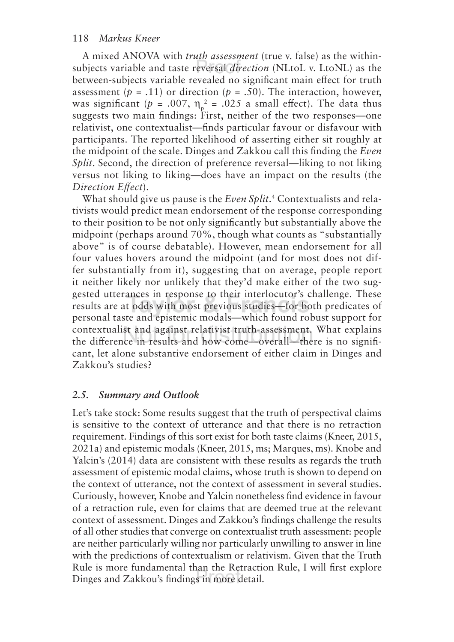A mixed ANOVA with *truth assessment* (true v. false) as the withinsubjects variable and taste reversal *direction* (NLtoL v. LtoNL) as the between-subjects variable revealed no significant main efect for truth assessment ( $p = .11$ ) or direction ( $p = .50$ ). The interaction, however, was significant ( $p = .007$ ,  $\eta_p^2 = .025$  a small effect). The data thus suggests two main findings: First, neither of the two responses—one relativist, one contextualist—finds particular favour or disfavour with participants. The reported likelihood of asserting either sit roughly at the midpoint of the scale. Dinges and Zakkou call this finding the *Even Split.* Second, the direction of preference reversal—liking to not liking versus not liking to liking—does have an impact on the results (the *Direction Efect*).

What should give us pause is the *Even Split*. 4 Contextualists and relativists would predict mean endorsement of the response corresponding to their position to be not only significantly but substantially above the midpoint (perhaps around 70%, though what counts as "substantially above" is of course debatable). However, mean endorsement for all four values hovers around the midpoint (and for most does not differ substantially from it), suggesting that on average, people report it neither likely nor unlikely that they'd make either of the two suggested utterances in response to their interlocutor's challenge. These results are at odds with most previous studies—for both predicates of personal taste and epistemic modals—which found robust support for contextualist and against relativist truth-assessment. What explains the diference in results and how come—overall—there is no significant, let alone substantive endorsement of either claim in Dinges and Zakkou's studies?

## *2.5. Summary and Outlook*

Let's take stock: Some results suggest that the truth of perspectival claims is sensitive to the context of utterance and that there is no retraction requirement. Findings of this sort exist for both taste claims (Kneer, 2015, 2021a) and epistemic modals (Kneer, 2015, ms; Marques, ms). Knobe and Yalcin's (2014) data are consistent with these results as regards the truth assessment of epistemic modal claims, whose truth is shown to depend on the context of utterance, not the context of assessment in several studies. Curiously, however, Knobe and Yalcin nonetheless find evidence in favour of a retraction rule, even for claims that are deemed true at the relevant context of assessment. Dinges and Zakkou's findings challenge the results of all other studies that converge on contextualist truth assessment: people are neither particularly willing nor particularly unwilling to answer in line with the predictions of contextualism or relativism. Given that the Truth Rule is more fundamental than the Retraction Rule, I will first explore Dinges and Zakkou's findings in more detail.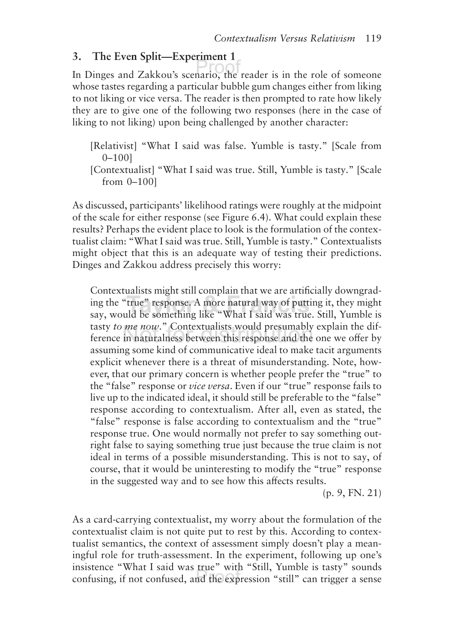## **3. The Even Split—Experiment 1**

In Dinges and Zakkou's scenario, the reader is in the role of someone whose tastes regarding a particular bubble gum changes either from liking to not liking or vice versa. The reader is then prompted to rate how likely they are to give one of the following two responses (here in the case of liking to not liking) upon being challenged by another character:

[Relativist] "What I said was false. Yumble is tasty." [Scale from 0–100]

[Contextualist] "What I said was true. Still, Yumble is tasty." [Scale from 0–100]

As discussed, participants' likelihood ratings were roughly at the midpoint of the scale for either response (see Figure 6.4). What could explain these results? Perhaps the evident place to look is the formulation of the contextualist claim: "What I said was true. Still, Yumble is tasty." Contextualists might object that this is an adequate way of testing their predictions. Dinges and Zakkou address precisely this worry:

Contextualists might still complain that we are artificially downgrading the "true" response. A more natural way of putting it, they might say, would be something like "What I said was true. Still, Yumble is tasty *to me now*." Contextualists would presumably explain the difference in naturalness between this response and the one we offer by assuming some kind of communicative ideal to make tacit arguments explicit whenever there is a threat of misunderstanding. Note, however, that our primary concern is whether people prefer the "true" to the "false" response or *vice versa*. Even if our "true" response fails to live up to the indicated ideal, it should still be preferable to the "false" response according to contextualism. After all, even as stated, the "false" response is false according to contextualism and the "true" response true. One would normally not prefer to say something outright false to saying something true just because the true claim is not ideal in terms of a possible misunderstanding. This is not to say, of course, that it would be uninteresting to modify the "true" response in the suggested way and to see how this afects results.

(p. 9, FN. 21)

As a card-carrying contextualist, my worry about the formulation of the contextualist claim is not quite put to rest by this. According to contextualist semantics, the context of assessment simply doesn't play a meaningful role for truth-assessment. In the experiment, following up one's insistence "What I said was true" with "Still, Yumble is tasty" sounds confusing, if not confused, and the expression "still" can trigger a sense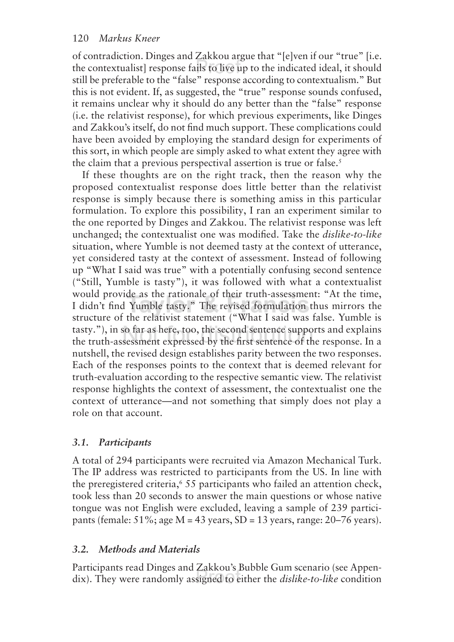of contradiction. Dinges and Zakkou argue that "[e]ven if our "true" [i.e. the contextualist] response fails to live up to the indicated ideal, it should still be preferable to the "false" response according to contextualism." But this is not evident. If, as suggested, the "true" response sounds confused, it remains unclear why it should do any better than the "false" response (i.e. the relativist response), for which previous experiments, like Dinges and Zakkou's itself, do not find much support. These complications could have been avoided by employing the standard design for experiments of this sort, in which people are simply asked to what extent they agree with the claim that a previous perspectival assertion is true or false.<sup>5</sup>

If these thoughts are on the right track, then the reason why the proposed contextualist response does little better than the relativist response is simply because there is something amiss in this particular formulation. To explore this possibility, I ran an experiment similar to the one reported by Dinges and Zakkou. The relativist response was left unchanged; the contextualist one was modified. Take the *dislike-to-like* situation, where Yumble is not deemed tasty at the context of utterance, yet considered tasty at the context of assessment. Instead of following up "What I said was true" with a potentially confusing second sentence ("Still, Yumble is tasty"), it was followed with what a contextualist would provide as the rationale of their truth-assessment: "At the time, I didn't find Yumble tasty." The revised formulation thus mirrors the structure of the relativist statement ("What I said was false. Yumble is tasty."), in so far as here, too, the second sentence supports and explains the truth-assessment expressed by the first sentence of the response. In a nutshell, the revised design establishes parity between the two responses. Each of the responses points to the context that is deemed relevant for truth-evaluation according to the respective semantic view. The relativist response highlights the context of assessment, the contextualist one the context of utterance—and not something that simply does not play a role on that account.

## *3.1. Participants*

A total of 294 participants were recruited via Amazon Mechanical Turk. The IP address was restricted to participants from the US. In line with the preregistered criteria,<sup>6</sup> 55 participants who failed an attention check, took less than 20 seconds to answer the main questions or whose native tongue was not English were excluded, leaving a sample of 239 participants (female:  $51\%$ ; age M = 43 years, SD = 13 years, range:  $20-76$  years).

## *3.2. Methods and Materials*

Participants read Dinges and Zakkou's Bubble Gum scenario (see Appendix). They were randomly assigned to either the *dislike-to-like* condition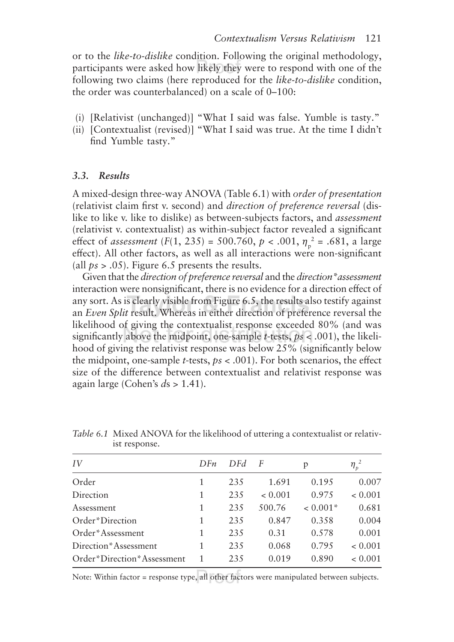or to the *like-to-dislike* condition. Following the original methodology, participants were asked how likely they were to respond with one of the following two claims (here reproduced for the *like-to-dislike* condition, the order was counterbalanced) on a scale of 0–100:

- (i) [Relativist (unchanged)] "What I said was false. Yumble is tasty."
- (ii) [Contextualist (revised)] "What I said was true. At the time I didn't find Yumble tasty."

#### *3.3. Results*

A mixed-design three-way ANOVA (Table 6.1) with *order of presentation* (relativist claim first v. second) and *direction of preference reversal* (dislike to like v. like to dislike) as between-subjects factors, and *assessment* (relativist v. contextualist) as within-subject factor revealed a significant effect of *assessment* (*F*(1, 235) = 500.760, *p* < .001,  $\eta_p^2$  = .681, a large efect). All other factors, as well as all interactions were non-significant (all *ps* > .05). Figure 6.5 presents the results.

Given that the *direction of preference reversal* and the *direction\*assessment* interaction were nonsignificant, there is no evidence for a direction efect of any sort. As is clearly visible from Figure 6.5, the results also testify against an *Even Split* result. Whereas in either direction of preference reversal the likelihood of giving the contextualist response exceeded 80% (and was significantly above the midpoint, one-sample *t*-tests, *ps* < .001), the likelihood of giving the relativist response was below 25% (significantly below the midpoint, one-sample *t*-tests,  $ps < .001$ ). For both scenarios, the effect size of the diference between contextualist and relativist response was again large (Cohen's *d*s > 1.41).

| IV                         | DFn | DFd | F       | p          | $\eta_p^2$ |  |
|----------------------------|-----|-----|---------|------------|------------|--|
| Order                      |     | 235 | 1.691   | 0.195      | 0.007      |  |
| Direction                  | 1   | 235 | < 0.001 | 0.975      | < 0.001    |  |
| Assessment                 | 1   | 235 | 500.76  | $< 0.001*$ | 0.681      |  |
| Order*Direction            | 1   | 235 | 0.847   | 0.358      | 0.004      |  |
| Order*Assessment           | 1   | 235 | 0.31    | 0.578      | 0.001      |  |
| Direction*Assessment       |     | 235 | 0.068   | 0.795      | < 0.001    |  |
| Order*Direction*Assessment |     | 235 | 0.019   | 0.890      | < 0.001    |  |

*Table 6.1* Mixed ANOVA for the likelihood of uttering a contextualist or relativist response.

Note: Within factor = response type, all other factors were manipulated between subjects.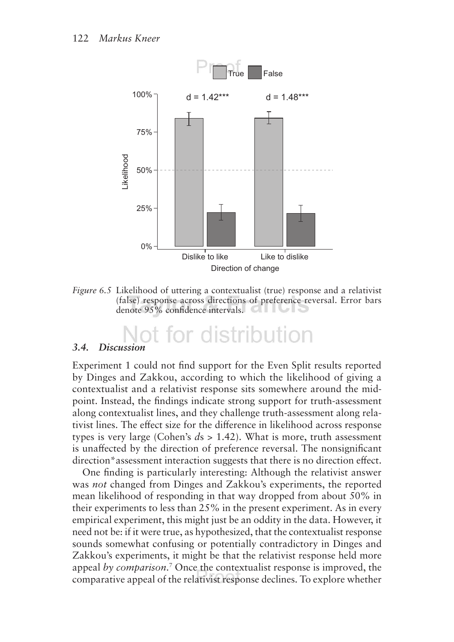

*Figure 6.5* Likelihood of uttering a contextualist (true) response and a relativist (false) response across directions of preference reversal. Error bars denote 95% confidence intervals.

# Not for distribution

#### *3.4. Discussion*

Experiment 1 could not find support for the Even Split results reported by Dinges and Zakkou, according to which the likelihood of giving a contextualist and a relativist response sits somewhere around the midpoint. Instead, the findings indicate strong support for truth-assessment along contextualist lines, and they challenge truth-assessment along relativist lines. The efect size for the diference in likelihood across response types is very large (Cohen's *d*s > 1.42). What is more, truth assessment is unafected by the direction of preference reversal. The nonsignificant direction\*assessment interaction suggests that there is no direction effect.

One finding is particularly interesting: Although the relativist answer was *not* changed from Dinges and Zakkou's experiments, the reported mean likelihood of responding in that way dropped from about 50% in their experiments to less than 25% in the present experiment. As in every empirical experiment, this might just be an oddity in the data. However, it need not be: if it were true, as hypothesized, that the contextualist response sounds somewhat confusing or potentially contradictory in Dinges and Zakkou's experiments, it might be that the relativist response held more appeal *by comparison*. 7 Once the contextualist response is improved, the comparative appeal of the relativist response declines. To explore whether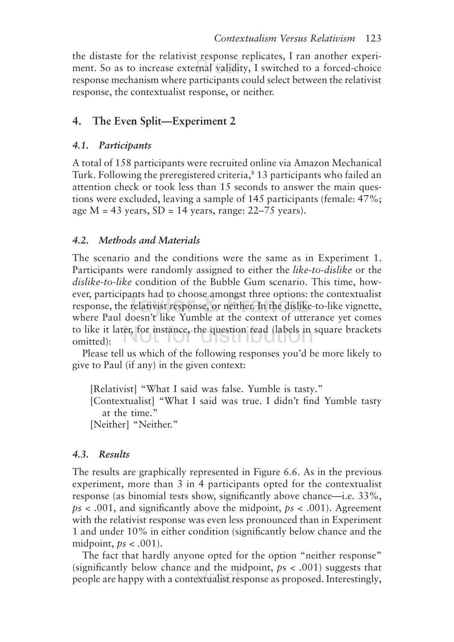the distaste for the relativist response replicates, I ran another experiment. So as to increase external validity, I switched to a forced-choice response mechanism where participants could select between the relativist response, the contextualist response, or neither.

## **4. The Even Split—Experiment 2**

## *4.1. Participants*

A total of 158 participants were recruited online via Amazon Mechanical Turk. Following the preregistered criteria,<sup>8</sup> 13 participants who failed an attention check or took less than 15 seconds to answer the main questions were excluded, leaving a sample of 145 participants (female: 47%; age  $M = 43$  years,  $SD = 14$  years, range: 22–75 years).

## *4.2. Methods and Materials*

The scenario and the conditions were the same as in Experiment 1. Participants were randomly assigned to either the *like-to-dislike* or the *dislike-to-like* condition of the Bubble Gum scenario. This time, however, participants had to choose amongst three options: the contextualist response, the relativist response, or neither. In the dislike-to-like vignette, where Paul doesn't like Yumble at the context of utterance yet comes to like it later, for instance, the question read (labels in square brackets iul iui uidu iuuuui omitted):

Please tell us which of the following responses you'd be more likely to give to Paul (if any) in the given context:

[Relativist] "What I said was false. Yumble is tasty."

[Contextualist] "What I said was true. I didn't find Yumble tasty at the time."

[Neither] "Neither."

## *4.3. Results*

The results are graphically represented in Figure 6.6. As in the previous experiment, more than 3 in 4 participants opted for the contextualist response (as binomial tests show, significantly above chance—i.e. 33%, *ps* < .001, and significantly above the midpoint, *ps* < .001). Agreement with the relativist response was even less pronounced than in Experiment 1 and under 10% in either condition (significantly below chance and the midpoint, *ps* < .001).

The fact that hardly anyone opted for the option "neither response" (significantly below chance and the midpoint, *p*s < .001) suggests that people are happy with a contextualist response as proposed. Interestingly,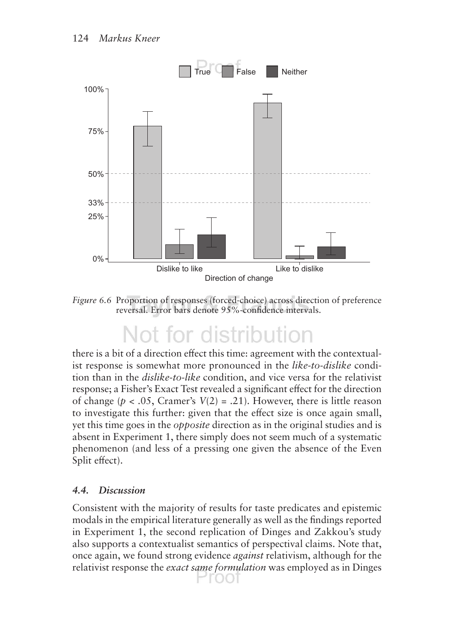

*Figure 6.6* Proportion of responses (forced-choice) across direction of preference reversal. Error bars denote 95%-confidence intervals.

# Not for distribution

there is a bit of a direction efect this time: agreement with the contextualist response is somewhat more pronounced in the *like-to-dislike* condition than in the *dislike-to-like* condition, and vice versa for the relativist response; a Fisher's Exact Test revealed a significant efect for the direction of change ( $p < .05$ , Cramer's  $V(2) = .21$ ). However, there is little reason to investigate this further: given that the efect size is once again small, yet this time goes in the *opposite* direction as in the original studies and is absent in Experiment 1, there simply does not seem much of a systematic phenomenon (and less of a pressing one given the absence of the Even Split effect).

## *4.4. Discussion*

Consistent with the majority of results for taste predicates and epistemic modals in the empirical literature generally as well as the findings reported in Experiment 1, the second replication of Dinges and Zakkou's study also supports a contextualist semantics of perspectival claims. Note that, once again, we found strong evidence *against* relativism, although for the relativist response the *exact same formulation* was employed as in Dinges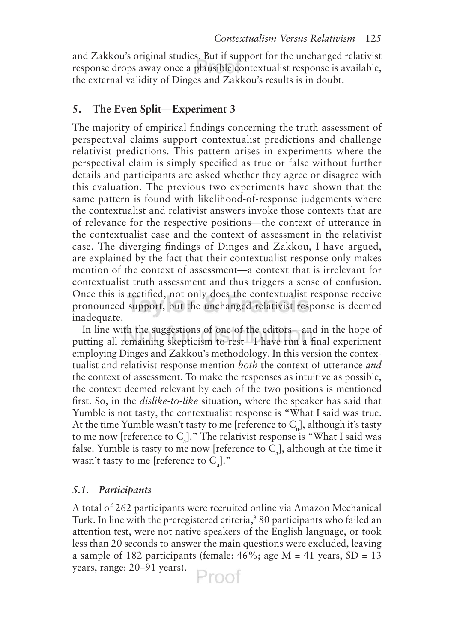and Zakkou's original studies. But if support for the unchanged relativist response drops away once a plausible contextualist response is available, the external validity of Dinges and Zakkou's results is in doubt.

#### **5. The Even Split—Experiment 3**

The majority of empirical findings concerning the truth assessment of perspectival claims support contextualist predictions and challenge relativist predictions. This pattern arises in experiments where the perspectival claim is simply specified as true or false without further details and participants are asked whether they agree or disagree with this evaluation. The previous two experiments have shown that the same pattern is found with likelihood-of-response judgements where the contextualist and relativist answers invoke those contexts that are of relevance for the respective positions—the context of utterance in the contextualist case and the context of assessment in the relativist case. The diverging findings of Dinges and Zakkou, I have argued, are explained by the fact that their contextualist response only makes mention of the context of assessment—a context that is irrelevant for contextualist truth assessment and thus triggers a sense of confusion. Once this is rectified, not only does the contextualist response receive pronounced support, but the unchanged relativist response is deemed inadequate.

In line with the suggestions of one of the editors—and in the hope of putting all remaining skepticism to rest—I have run a final experiment employing Dinges and Zakkou's methodology. In this version the contextualist and relativist response mention *both* the context of utterance *and* the context of assessment. To make the responses as intuitive as possible, the context deemed relevant by each of the two positions is mentioned first. So, in the *dislike-to-like* situation, where the speaker has said that Yumble is not tasty, the contextualist response is "What I said was true. At the time Yumble wasn't tasty to me [reference to  $C_{\text{u}}$ ], although it's tasty to me now [reference to  $C_a$ ]." The relativist response is "What I said was false. Yumble is tasty to me now [reference to  $C_a$ ], although at the time it wasn't tasty to me [reference to  $C_{ul}$ ]."

#### *5.1. Participants*

A total of 262 participants were recruited online via Amazon Mechanical Turk. In line with the preregistered criteria,<sup>9</sup> 80 participants who failed an attention test, were not native speakers of the English language, or took less than 20 seconds to answer the main questions were excluded, leaving a sample of 182 participants (female:  $46\%$ ; age M = 41 years, SD = 13 years, range: 20–91 years).Proof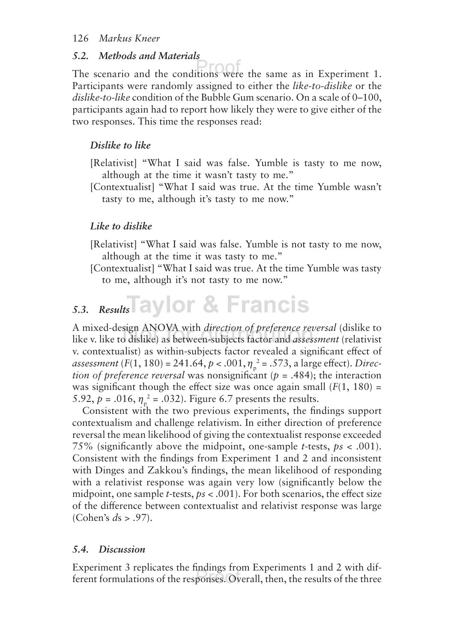#### *5.2. Methods and Materials*

The scenario and the conditions were the same as in Experiment 1. Participants were randomly assigned to either the *like-to-dislike* or the *dislike-to-like* condition of the Bubble Gum scenario. On a scale of 0–100, participants again had to report how likely they were to give either of the two responses. This time the responses read:

#### *Dislike to like*

- [Relativist] "What I said was false. Yumble is tasty to me now, although at the time it wasn't tasty to me."
- [Contextualist] "What I said was true. At the time Yumble wasn't tasty to me, although it's tasty to me now."

#### *Like to dislike*

- [Relativist] "What I said was false. Yumble is not tasty to me now, although at the time it was tasty to me."
- [Contextualist] "What I said was true. At the time Yumble was tasty to me, although it's not tasty to me now."

## 5.3. Results aylor & Francis

A mixed-design ANOVA with *direction of preference reversal* (dislike to like v. like to dislike) as between-subjects factor and *assessment* (relativist v. contextualist) as within-subjects factor revealed a significant efect of *assessment* (*F*(1, 180) = 241.64, *p* < .001,  $\eta_{\rm p}^{\rm 2}$  = .573, a large effect). *Direction of preference reversal* was nonsignificant (*p* = .484); the interaction was significant though the effect size was once again small  $(F(1, 180))$  = 5.92,  $p = .016$ ,  $\eta_p^2 = .032$ ). Figure 6.7 presents the results.

Consistent with the two previous experiments, the findings support contextualism and challenge relativism. In either direction of preference reversal the mean likelihood of giving the contextualist response exceeded 75% (significantly above the midpoint, one-sample *t*-tests, *ps* < .001). Consistent with the findings from Experiment 1 and 2 and inconsistent with Dinges and Zakkou's findings, the mean likelihood of responding with a relativist response was again very low (significantly below the midpoint, one sample *t*-tests, *ps* < .001). For both scenarios, the efect size of the diference between contextualist and relativist response was large (Cohen's *d*s > .97).

#### *5.4. Discussion*

Experiment 3 replicates the findings from Experiments 1 and 2 with different formulations of the responses. Overall, then, the results of the three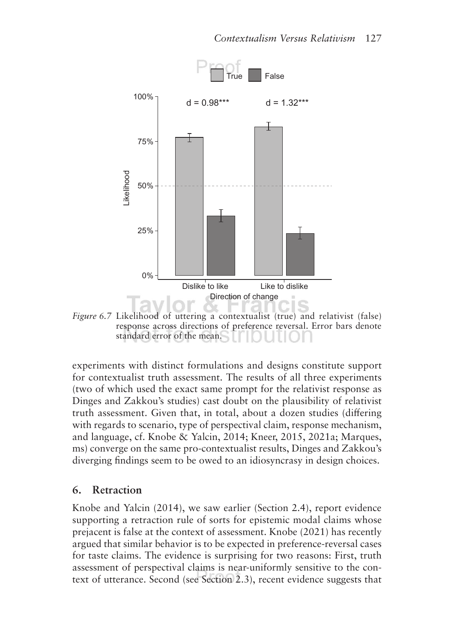

*Figure* 6.7 Likelihood of uttering a contextualist (true) and relativist (false) response across directions of preference reversal. Error bars denote standard error of the mean.

experiments with distinct formulations and designs constitute support for contextualist truth assessment. The results of all three experiments (two of which used the exact same prompt for the relativist response as Dinges and Zakkou's studies) cast doubt on the plausibility of relativist truth assessment. Given that, in total, about a dozen studies (difering with regards to scenario, type of perspectival claim, response mechanism, and language, cf. Knobe & Yalcin, 2014; Kneer, 2015, 2021a; Marques, ms) converge on the same pro-contextualist results, Dinges and Zakkou's diverging findings seem to be owed to an idiosyncrasy in design choices.

## **6 . Retraction**

Knobe and Yalcin (2014), we saw earlier (Section 2.4), report evidence supporting a retraction rule of sorts for epistemic modal claims whose prejacent is false at the context of assessment. Knobe (2021) has recently argued that similar behavior is to be expected in preference-reversal cases for taste claims. The evidence is surprising for two reasons: First, truth assessment of perspectival claims is near-uniformly sensitive to the context of utterance. Second (see Section 2.3), recent evidence suggests that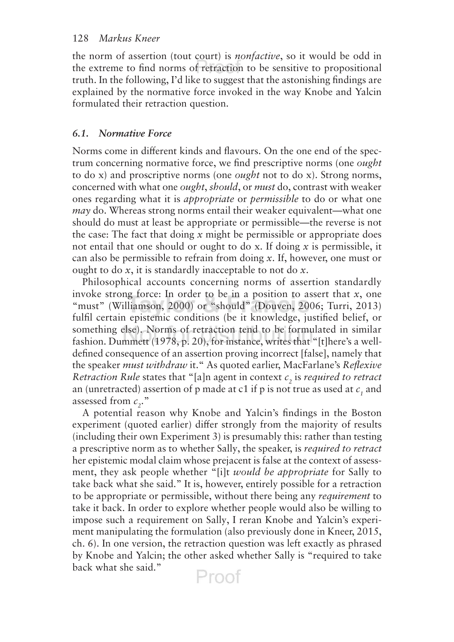the norm of assertion (tout court) is *nonfactive*, so it would be odd in the extreme to find norms of retraction to be sensitive to propositional truth. In the following, I'd like to suggest that the astonishing findings are explained by the normative force invoked in the way Knobe and Yalcin formulated their retraction question.

### *6.1. Normative Force*

Norms come in diferent kinds and flavours. On the one end of the spectrum concerning normative force, we find prescriptive norms (one *ought* to do x) and proscriptive norms (one *ought* not to do x). Strong norms, concerned with what one *ought*, *should*, or *must* do, contrast with weaker ones regarding what it is *appropriate* or *permissible* to do or what one *may* do. Whereas strong norms entail their weaker equivalent—what one should do must at least be appropriate or permissible—the reverse is not the case: The fact that doing *x* might be permissible or appropriate does not entail that one should or ought to do x. If doing *x* is permissible, it can also be permissible to refrain from doing *x*. If, however, one must or ought to do *x*, it is standardly inacceptable to not do *x*.

Philosophical accounts concerning norms of assertion standardly invoke strong force: In order to be in a position to assert that *x*, one "must" (Williamson, 2000) or "should" (Douven, 2006; Turri, 2013) fulfil certain epistemic conditions (be it knowledge, justified belief, or something else). Norms of retraction tend to be formulated in similar fashion. Dummett (1978, p. 20), for instance, writes that "[t]here's a welldefined consequence of an assertion proving incorrect [false], namely that the speaker *must withdraw* it." As quoted earlier, MacFarlane's *Reflexive Retraction Rule* states that "[a]n agent in context  $c<sub>2</sub>$  is *required to retract* an (unretracted) assertion of p made at c1 if p is not true as used at  $c_1$  and assessed from  $c_2$ ."

A potential reason why Knobe and Yalcin's findings in the Boston experiment (quoted earlier) difer strongly from the majority of results (including their own Experiment 3) is presumably this: rather than testing a prescriptive norm as to whether Sally, the speaker, is *required to retract* her epistemic modal claim whose prejacent is false at the context of assessment, they ask people whether "[i]t *would be appropriate* for Sally to take back what she said." It is, however, entirely possible for a retraction to be appropriate or permissible, without there being any *requirement* to take it back. In order to explore whether people would also be willing to impose such a requirement on Sally, I reran Knobe and Yalcin's experiment manipulating the formulation (also previously done in Kneer, 2015, ch. 6). In one version, the retraction question was left exactly as phrased by Knobe and Yalcin; the other asked whether Sally is "required to take back what she said."Proof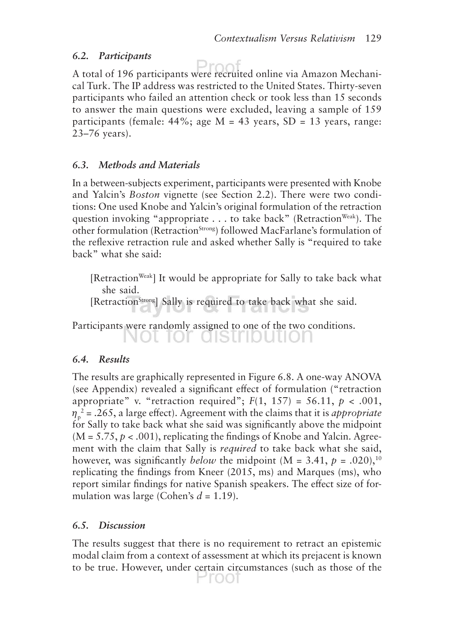#### *6.2. Participants*

A total of 196 participants were recruited online via Amazon Mechanical Turk. The IP address was restricted to the United States. Thirty-seven participants who failed an attention check or took less than 15 seconds to answer the main questions were excluded, leaving a sample of 159 participants (female:  $44\%$ ; age M = 43 years, SD = 13 years, range: 23–76 years).

## *6.3. Methods and Materials*

In a between-subjects experiment, participants were presented with Knobe and Yalcin's *Boston* vignette (see Section 2.2). There were two conditions: One used Knobe and Yalcin's original formulation of the retraction question invoking "appropriate . . . to take back" (Retraction<sup>Weak</sup>). The other formulation (Retraction<sup>Strong</sup>) followed MacFarlane's formulation of the reflexive retraction rule and asked whether Sally is "required to take back" what she said:

[Retraction<sup>Weak</sup>] It would be appropriate for Sally to take back what she said.

[Retraction<sup>Strong</sup>] Sally is required to take back what she said.

Participants were randomly assigned to one of the two conditions. NOL IOF GISLIDULION

## *6.4. Results*

The results are graphically represented in Figure 6.8. A one-way ANOVA (see Appendix) revealed a significant efect of formulation ("retraction appropriate" v. "retraction required";  $F(1, 157) = 56.11$ ,  $p < .001$ ,  $\eta_p^2$  = .265, a large effect). Agreement with the claims that it is *appropriate* for Sally to take back what she said was significantly above the midpoint  $(M = 5.75, p < .001)$ , replicating the findings of Knobe and Yalcin. Agreement with the claim that Sally is *required* to take back what she said, however, was significantly *below* the midpoint (M = 3.41,  $p = .020$ ),<sup>10</sup> replicating the findings from Kneer (2015, ms) and Marques (ms), who report similar findings for native Spanish speakers. The efect size of formulation was large (Cohen's  $d = 1.19$ ).

## *6.5. Discussion*

The results suggest that there is no requirement to retract an epistemic modal claim from a context of assessment at which its prejacent is known to be true. However, under certain circumstances (such as those of the

Froot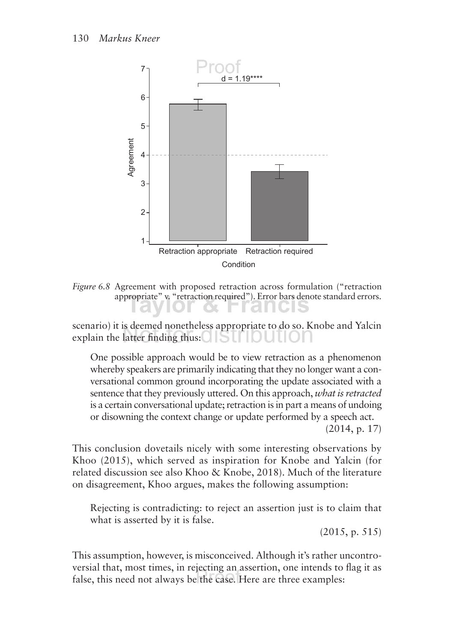

*Figure 6.8* Agreement with proposed retraction across formulation ("retraction appropriate" v. "retraction required"). Error bars denote standard errors.ranus

scenario) it is deemed nonetheless appropriate to do so. Knobe and Yalcin explain the latter finding thus:

One possible approach would be to view retraction as a phenomenon whereby speakers are primarily indicating that they no longer want a conversational common ground incorporating the update associated with a sentence that they previously uttered. On this approach, *what is retracted* is a certain conversational update; retraction is in part a means of undoing or disowning the context change or update performed by a speech act.

(2014, p. 17)

This conclusion dovetails nicely with some interesting observations by Khoo (2015), which served as inspiration for Knobe and Yalcin (for related discussion see also Khoo & Knobe, 2018). Much of the literature on disagreement, Khoo argues, makes the following assumption:

Rejecting is contradicting: to reject an assertion just is to claim that what is asserted by it is false.

(2015, p. 515)

This assumption, however, is misconceived. Although it's rather uncontroversial that, most times, in rejecting an assertion, one intends to flag it as false, this need not always be the case. Here are three examples: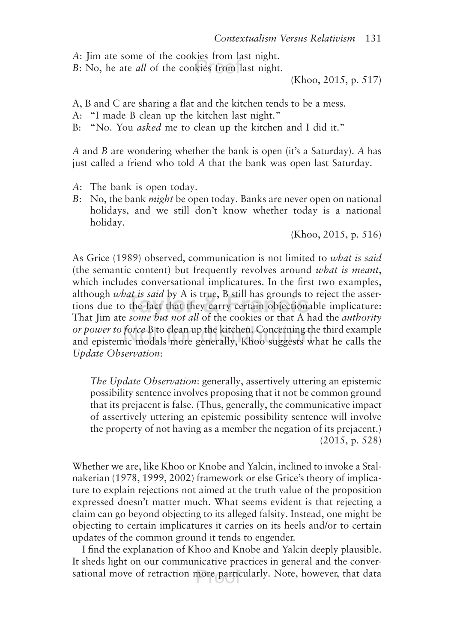*A*: Jim ate some of the cookies from last night.

*B*: No, he ate *all* of the cookies from last night.

(Khoo, 2015, p. 517)

A, B and C are sharing a flat and the kitchen tends to be a mess.

- A: "I made B clean up the kitchen last night."
- B: "No. You *asked* me to clean up the kitchen and I did it."

*A* and *B* are wondering whether the bank is open (it's a Saturday). *A* has just called a friend who told *A* that the bank was open last Saturday.

- *A*: The bank is open today.
- *B*: No, the bank *might* be open today. Banks are never open on national holidays, and we still don't know whether today is a national holiday.

(Khoo, 2015, p. 516)

As Grice (1989) observed, communication is not limited to *what is said* (the semantic content) but frequently revolves around *what is meant*, which includes conversational implicatures. In the first two examples, although *what is said* by A is true, B still has grounds to reject the assertions due to the fact that they carry certain objectionable implicature: That Jim ate *some but not all* of the cookies or that A had the *authority or power to force* B to clean up the kitchen. Concerning the third example and epistemic modals more generally, Khoo suggests what he calls the *Update Observation*:

*The Update Observation*: generally, assertively uttering an epistemic possibility sentence involves proposing that it not be common ground that its prejacent is false. (Thus, generally, the communicative impact of assertively uttering an epistemic possibility sentence will involve the property of not having as a member the negation of its prejacent.) (2015, p. 528)

Whether we are, like Khoo or Knobe and Yalcin, inclined to invoke a Stalnakerian (1978, 1999, 2002) framework or else Grice's theory of implicature to explain rejections not aimed at the truth value of the proposition expressed doesn't matter much. What seems evident is that rejecting a claim can go beyond objecting to its alleged falsity. Instead, one might be objecting to certain implicatures it carries on its heels and/or to certain updates of the common ground it tends to engender.

I find the explanation of Khoo and Knobe and Yalcin deeply plausible. It sheds light on our communicative practices in general and the conversational move of retraction more particularly. Note, however, that data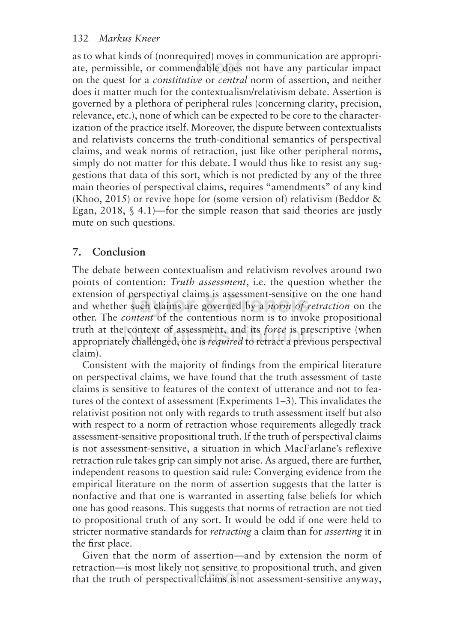as to what kinds of (nonrequired) moves in communication are appropriate, permissible, or commendable does not have any particular impact on the quest for a *constitutive* or *central* norm of assertion, and neither does it matter much for the contextualism/relativism debate. Assertion is governed by a plethora of peripheral rules (concerning clarity, precision, relevance, etc.), none of which can be expected to be core to the characterization of the practice itself. Moreover, the dispute between contextualists and relativists concerns the truth-conditional semantics of perspectival claims, and weak norms of retraction, just like other peripheral norms, simply do not matter for this debate. I would thus like to resist any suggestions that data of this sort, which is not predicted by any of the three main theories of perspectival claims, requires "amendments" of any kind (Khoo, 2015) or revive hope for (some version of) relativism (Beddor  $\&$ Egan, 2018,  $\S$  4.1)—for the simple reason that said theories are justly mute on such questions.

## **7. Conclusion**

The debate between contextualism and relativism revolves around two points of contention: *Truth assessment*, i.e. the question whether the extension of perspectival claims is assessment-sensitive on the one hand and whether such claims are governed by a *norm of retraction* on the other. The *content* of the contentious norm is to invoke propositional truth at the context of assessment, and its *force* is prescriptive (when appropriately challenged, one is *required* to retract a previous perspectival claim).

Consistent with the majority of findings from the empirical literature on perspectival claims, we have found that the truth assessment of taste claims is sensitive to features of the context of utterance and not to features of the context of assessment (Experiments 1–3). This invalidates the relativist position not only with regards to truth assessment itself but also with respect to a norm of retraction whose requirements allegedly track assessment-sensitive propositional truth. If the truth of perspectival claims is not assessment-sensitive, a situation in which MacFarlane's reflexive retraction rule takes grip can simply not arise. As argued, there are further, independent reasons to question said rule: Converging evidence from the empirical literature on the norm of assertion suggests that the latter is nonfactive and that one is warranted in asserting false beliefs for which one has good reasons. This suggests that norms of retraction are not tied to propositional truth of any sort. It would be odd if one were held to stricter normative standards for *retracting* a claim than for *asserting* it in the first place.

Given that the norm of assertion—and by extension the norm of retraction—is most likely not sensitive to propositional truth, and given that the truth of perspectival claims is not assessment-sensitive anyway,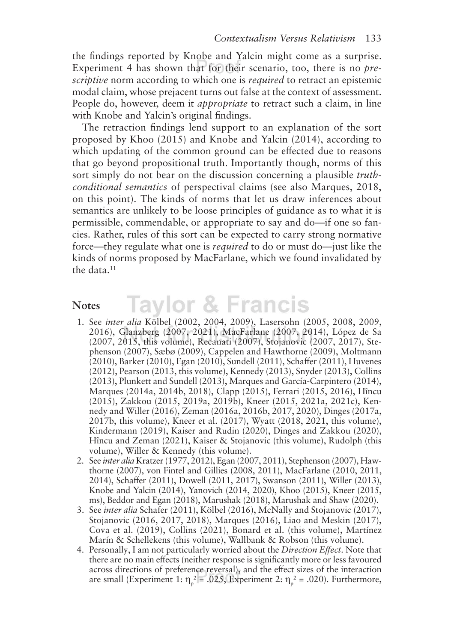the findings reported by Knobe and Yalcin might come as a surprise. Experiment 4 has shown that for their scenario, too, there is no *prescriptive* norm according to which one is *required* to retract an epistemic modal claim, whose prejacent turns out false at the context of assessment. People do, however, deem it *appropriate* to retract such a claim, in line with Knobe and Yalcin's original findings.

The retraction findings lend support to an explanation of the sort proposed by Khoo (2015) and Knobe and Yalcin (2014), according to which updating of the common ground can be effected due to reasons that go beyond propositional truth. Importantly though, norms of this sort simply do not bear on the discussion concerning a plausible *truthconditional semantics* of perspectival claims (see also Marques, 2018, on this point). The kinds of norms that let us draw inferences about semantics are unlikely to be loose principles of guidance as to what it is permissible, commendable, or appropriate to say and do—if one so fancies. Rather, rules of this sort can be expected to carry strong normative force—they regulate what one is *required* to do or must do—just like the kinds of norms proposed by MacFarlane, which we found invalidated by the data.<sup>11</sup>

#### **Notes**

## **Taylor & Francis**

- 1. See *inter alia* Kölbel (2002, 2004, 2009), Lasersohn (2005, 2008, 2009, 2016), Glanzberg (2007, 2021), MacFarlane (2007, 2014), López de Sa (2007, 2015, this volume), Recanati (2007), Stojanovic (2007, 2017), Stephenson (2007), Sæbø (2009), Cappelen and Hawthorne (2009), Moltmann (2010), Barker (2010), Egan (2010), Sundell (2011), Schafer (2011), Huvenes (2012), Pearson (2013, this volume), Kennedy (2013), Snyder (2013), Collins (2013), Plunkett and Sundell (2013), Marques and García-Carpintero (2014), Marques (2014a, 2014b, 2018), Clapp (2015), Ferrari (2015, 2016), Hîncu (2015), Zakkou (2015, 2019a, 2019b), Kneer (2015, 2021a, 2021c), Kennedy and Willer (2016), Zeman (2016a, 2016b, 2017, 2020), Dinges (2017a, 2017b, this volume), Kneer et al. (2017), Wyatt (2018, 2021, this volume), Kindermann (2019), Kaiser and Rudin (2020), Dinges and Zakkou (2020), Hîncu and Zeman (2021), Kaiser & Stojanovic (this volume), Rudolph (this volume), Willer & Kennedy (this volume).
- 2. See *inter alia* Kratzer (1977, 2012), Egan (2007, 2011), Stephenson (2007), Hawthorne (2007), von Fintel and Gillies (2008, 2011), MacFarlane (2010, 2011, 2014), Schafer (2011), Dowell (2011, 2017), Swanson (2011), Willer (2013), Knobe and Yalcin (2014), Yanovich (2014, 2020), Khoo (2015), Kneer (2015, ms), Beddor and Egan (2018), Marushak (2018), Marushak and Shaw (2020).
- 3. See *inter alia* Schafer (2011), Kölbel (2016), McNally and Stojanovic (2017), Stojanovic (2016, 2017, 2018), Marques (2016), Liao and Meskin (2017), Cova et al. (2019), Collins (2021), Bonard et al. (this volume), Martínez Marín & Schellekens (this volume), Wallbank & Robson (this volume).
- 4. Personally, I am not particularly worried about the *Direction Efect*. Note that there are no main efects (neither response is significantly more or less favoured across directions of preference reversal), and the efect sizes of the interaction are small (Experiment 1:  $\eta_p^2 = .025$ , Experiment 2:  $\eta_p^2 = .020$ ). Furthermore,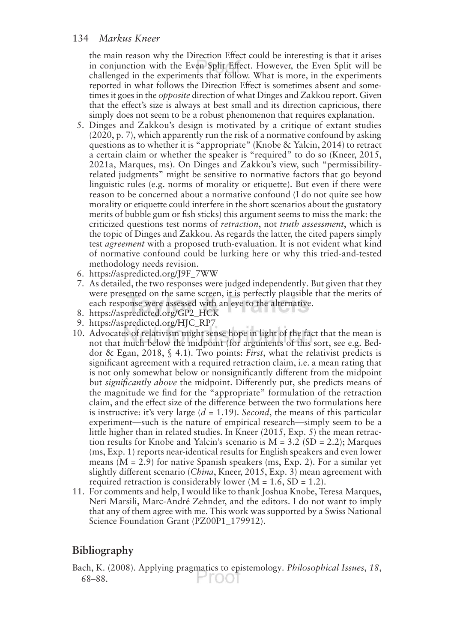the main reason why the Direction Efect could be interesting is that it arises in conjunction with the Even Split Efect. However, the Even Split will be challenged in the experiments that follow. What is more, in the experiments reported in what follows the Direction Efect is sometimes absent and sometimes it goes in the *opposite* direction of what Dinges and Zakkou report. Given that the efect's size is always at best small and its direction capricious, there simply does not seem to be a robust phenomenon that requires explanation.

- 5. Dinges and Zakkou's design is motivated by a critique of extant studies (2020, p. 7), which apparently run the risk of a normative confound by asking questions as to whether it is "appropriate" (Knobe & Yalcin, 2014) to retract a certain claim or whether the speaker is "required" to do so (Kneer, 2015, 2021a, Marques, ms). On Dinges and Zakkou's view, such "permissibilityrelated judgments" might be sensitive to normative factors that go beyond linguistic rules (e.g. norms of morality or etiquette). But even if there were reason to be concerned about a normative confound (I do not quite see how morality or etiquette could interfere in the short scenarios about the gustatory merits of bubble gum or fish sticks) this argument seems to miss the mark: the criticized questions test norms of *retraction*, not *truth assessment*, which is the topic of Dinges and Zakkou. As regards the latter, the cited papers simply test *agreement* with a proposed truth-evaluation. It is not evident what kind of normative confound could be lurking here or why this tried-and-tested methodology needs revision.
- 6. https://aspredicted.org/J9F\_7WW
- 7. As detailed, the two responses were judged independently. But given that they were presented on the same screen, it is perfectly plausible that the merits of each response were assessed with an eye to the alternative.
- 8. https://aspredicted.org/GP2\_HCK
- 9. https://aspredicted.org/HJC\_RP7
- 10. Advocates of relativism might sense hope in light of the fact that the mean is not that much below the midpoint (for arguments of this sort, see e.g. Beddor & Egan, 2018, § 4.1). Two points: *First*, what the relativist predicts is significant agreement with a required retraction claim, i.e. a mean rating that is not only somewhat below or nonsignificantly diferent from the midpoint but *significantly above* the midpoint. Diferently put, she predicts means of the magnitude we find for the "appropriate" formulation of the retraction claim, and the efect size of the diference between the two formulations here is instructive: it's very large (*d* = 1.19). *Second*, the means of this particular experiment—such is the nature of empirical research—simply seem to be a little higher than in related studies. In Kneer (2015, Exp. 5) the mean retraction results for Knobe and Yalcin's scenario is  $M = 3.2$  (SD = 2.2); Marques (ms, Exp. 1) reports near-identical results for English speakers and even lower means  $(M = 2.9)$  for native Spanish speakers (ms, Exp. 2). For a similar yet slightly diferent scenario (*China*, Kneer, 2015, Exp. 3) mean agreement with required retraction is considerably lower  $(M = 1.6, SD = 1.2)$ .
- 11. For comments and help, I would like to thank Joshua Knobe, Teresa Marques, Neri Marsili, Marc-André Zehnder, and the editors. I do not want to imply that any of them agree with me. This work was supported by a Swiss National Science Foundation Grant (PZ00P1\_179912).

## **Bibliography**

Bach, K. (2008). Applying pragmatics to epistemology. *Philosophical Issues*, *18*, Proot 68–88.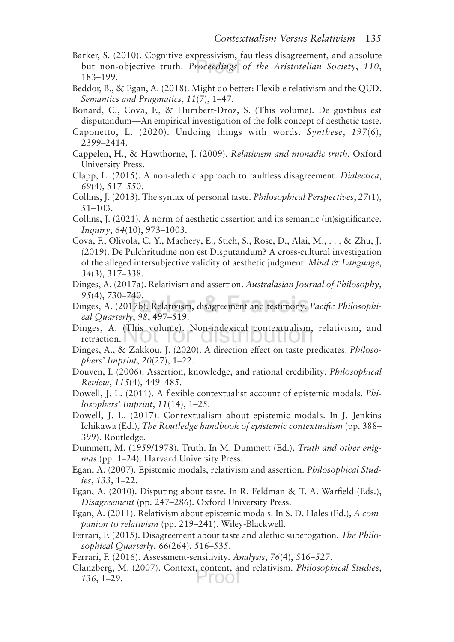- Barker, S. (2010). Cognitive expressivism, faultless disagreement, and absolute but non-objective truth. *Proceedings of the Aristotelian Society*, *110*, 183–199.
- Beddor, B., & Egan, A. (2018). Might do better: Flexible relativism and the QUD. *Semantics and Pragmatics*, *11*(7), 1–47.

Bonard, C., Cova, F., & Humbert-Droz, S. (This volume). De gustibus est disputandum—An empirical investigation of the folk concept of aesthetic taste.

- Caponetto, L. (2020). Undoing things with words. *Synthese*, *197*(6), 2399–2414.
- Cappelen, H., & Hawthorne, J. (2009). *Relativism and monadic truth*. Oxford University Press.
- Clapp, L. (2015). A non-alethic approach to faultless disagreement. *Dialectica*, *69*(4), 517–550.
- Collins, J. (2013). The syntax of personal taste. *Philosophical Perspectives*, *27*(1), 51–103.
- Collins, J. (2021). A norm of aesthetic assertion and its semantic (in)significance. *Inquiry*, *64*(10), 973–1003.
- Cova, F., Olivola, C. Y., Machery, E., Stich, S., Rose, D., Alai, M., . . . & Zhu, J. (2019). De Pulchritudine non est Disputandum? A cross-cultural investigation of the alleged intersubjective validity of aesthetic judgment. *Mind & Language*, *34*(3), 317–338.
- Dinges, A. (2017a). Relativism and assertion. *Australasian Journal of Philosophy*, *95*(4), 730–740.
- Dinges, A. (2017b). Relativism, disagreement and testimony. *Pacific Philosophical Quarterly*, *98*, 497–519.
- Dinges, A. (This volume). Non-indexical contextualism, relativism, and retraction. NUL IUI <u>uisti iduti</u> JТ
- Dinges, A., & Zakkou, J. (2020). A direction efect on taste predicates. *Philosophers' Imprint*, *20*(27), 1–22.
- Douven, I. (2006). Assertion, knowledge, and rational credibility. *Philosophical Review*, *115*(4), 449–485.
- Dowell, J. L. (2011). A flexible contextualist account of epistemic modals. *Philosophers' Imprint*, *11*(14), 1–25.
- Dowell, J. L. (2017). Contextualism about epistemic modals. In J. Jenkins Ichikawa (Ed.), *The Routledge handbook of epistemic contextualism* (pp. 388– 399). Routledge.
- Dummett, M. (1959/1978). Truth. In M. Dummett (Ed.), *Truth and other enigmas* (pp. 1–24). Harvard University Press.
- Egan, A. (2007). Epistemic modals, relativism and assertion. *Philosophical Studies*, *133*, 1–22.
- Egan, A. (2010). Disputing about taste. In R. Feldman & T. A. Warfield (Eds.), *Disagreement* (pp. 247–286). Oxford University Press.
- Egan, A. (2011). Relativism about epistemic modals. In S. D. Hales (Ed.), *A companion to relativism* (pp. 219–241). Wiley-Blackwell.
- Ferrari, F. (2015). Disagreement about taste and alethic suberogation. *The Philosophical Quarterly*, *66*(264), 516–535.
- Ferrari, F. (2016). Assessment-sensitivity. *Analysis*, *76*(4), 516–527.
- Glanzberg, M. (2007). Context, content, and relativism. *Philosophical Studies*, *136*, 1–29.1001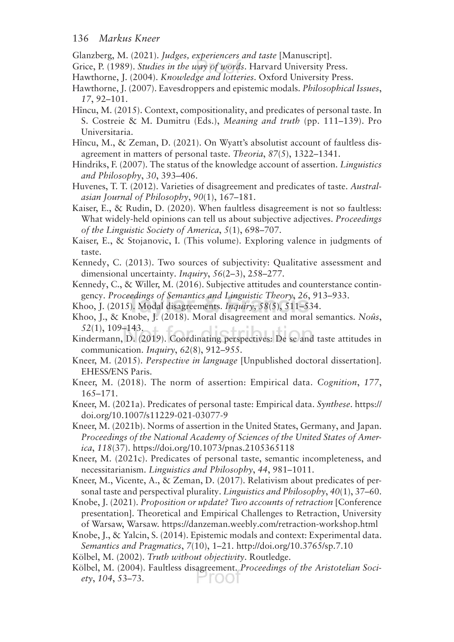Glanzberg, M. (2021). *Judges, experiencers and taste* [Manuscript].

Grice, P. (1989). *Studies in the way of words*. Harvard University Press.

Hawthorne, J. (2004). *Knowledge and lotteries*. Oxford University Press.

Hawthorne, J. (2007). Eavesdroppers and epistemic modals. *Philosophical Issues*, *17*, 92–101.

- Hîncu, M. (2015). Context, compositionality, and predicates of personal taste. In S. Costreie & M. Dumitru (Eds.), *Meaning and truth* (pp. 111–139). Pro Universitaria.
- Hîncu, M., & Zeman, D. (2021). On Wyatt's absolutist account of faultless disagreement in matters of personal taste. *Theoria*, *87*(5), 1322–1341.
- Hindriks, F. (2007). The status of the knowledge account of assertion. *Linguistics and Philosophy*, *30*, 393–406.

Huvenes, T. T. (2012). Varieties of disagreement and predicates of taste. *Australasian Journal of Philosophy*, *90*(1), 167–181.

- Kaiser, E., & Rudin, D. (2020). When faultless disagreement is not so faultless: What widely-held opinions can tell us about subjective adjectives. *Proceedings of the Linguistic Society of America*, *5*(1), 698–707.
- Kaiser, E., & Stojanovic, I. (This volume). Exploring valence in judgments of taste.
- Kennedy, C. (2013). Two sources of subjectivity: Qualitative assessment and dimensional uncertainty. *Inquiry*, *56*(2–3), 258–277.
- Kennedy, C., & Willer, M. (2016). Subjective attitudes and counterstance contingency. *Proceedings of Semantics and Linguistic Theory*, *26*, 913–933.
- Khoo, J. (2015). Modal disagreements. *Inquiry*, *58*(5), 511–534.
- Khoo, J., & Knobe, J. (2018). Moral disagreement and moral semantics. *Noûs*, *52*(1), 109–143. dictribut
- Kindermann, D. (2019). Coordinating perspectives: De se and taste attitudes in communication. *Inquiry*, *62*(8), 912–955.
- Kneer, M. (2015). *Perspective in language* [Unpublished doctoral dissertation]. EHESS/ENS Paris.
- Kneer, M. (2018). The norm of assertion: Empirical data. *Cognition*, *177*, 165–171.
- Kneer, M. (2021a). Predicates of personal taste: Empirical data. *Synthese*. https:// doi.org/10.1007/s11229-021-03077-9
- Kneer, M. (2021b). Norms of assertion in the United States, Germany, and Japan. *Proceedings of the National Academy of Sciences of the United States of America*, *118*(37). https://doi.org/10.1073/pnas.2105365118

Kneer, M. (2021c). Predicates of personal taste, semantic incompleteness, and necessitarianism. *Linguistics and Philosophy*, *44*, 981–1011.

- Kneer, M., Vicente, A., & Zeman, D. (2017). Relativism about predicates of personal taste and perspectival plurality. *Linguistics and Philosophy*, *40*(1), 37–60.
- Knobe, J. (2021). *Proposition or update? Two accounts of retraction* [Conference presentation]. Theoretical and Empirical Challenges to Retraction, University of Warsaw, Warsaw. https://danzeman.weebly.com/retraction-workshop.html
- Knobe, J., & Yalcin, S. (2014). Epistemic modals and context: Experimental data. *Semantics and Pragmatics*, *7*(10), 1–21. http://doi.org/10.3765/sp.7.10

Kölbel, M. (2002). *Truth without objectivity*. Routledge.

Kölbel, M. (2004). Faultless disagreement. *Proceedings of the Aristotelian Society*, *104*, 53–73.1 root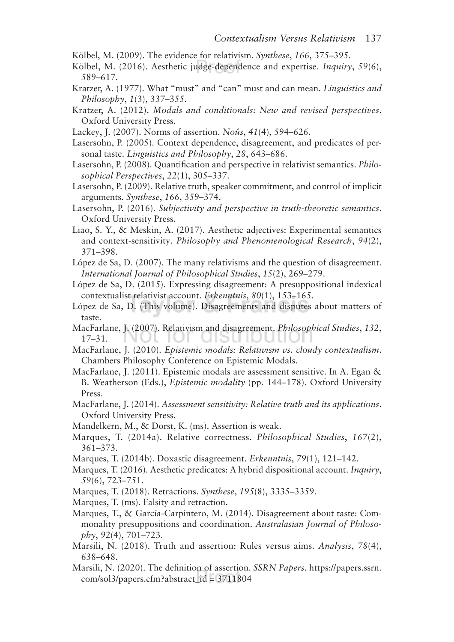- Kölbel, M. (2009). The evidence for relativism. *Synthese*, *166*, 375–395.
- Kölbel, M. (2016). Aesthetic judge-dependence and expertise. *Inquiry*, *59*(6), 589–617.
- Kratzer, A. (1977). What "must" and "can" must and can mean. *Linguistics and Philosophy*, *1*(3), 337–355.
- Kratzer, A. (2012). *Modals and conditionals: New and revised perspectives*. Oxford University Press.
- Lackey, J. (2007). Norms of assertion. *Noûs*, *41*(4), 594–626.
- Lasersohn, P. (2005). Context dependence, disagreement, and predicates of personal taste. *Linguistics and Philosophy*, *28*, 643–686.
- Lasersohn, P. (2008). Quantification and perspective in relativist semantics. *Philosophical Perspectives*, *22*(1), 305–337.
- Lasersohn, P. (2009). Relative truth, speaker commitment, and control of implicit arguments. *Synthese*, *166*, 359–374.
- Lasersohn, P. (2016). *Subjectivity and perspective in truth-theoretic semantics*. Oxford University Press.
- Liao, S. Y., & Meskin, A. (2017). Aesthetic adjectives: Experimental semantics and context-sensitivity. *Philosophy and Phenomenological Research*, *94*(2), 371–398.
- López de Sa, D. (2007). The many relativisms and the question of disagreement. *International Journal of Philosophical Studies*, *15*(2), 269–279.
- López de Sa, D. (2015). Expressing disagreement: A presuppositional indexical contextualist relativist account. *Erkenntnis*, *80*(1), 153–165.
- López de Sa, D. (This volume). Disagreements and disputes about matters of taste.
- MacFarlane, J. (2007). Relativism and disagreement. *Philosophical Studies*, *132*, JI IUI UISINDUIIUI 17–31.
- MacFarlane, J. (2010). *Epistemic modals: Relativism vs. cloudy contextualism*. Chambers Philosophy Conference on Epistemic Modals.
- MacFarlane, J. (2011). Epistemic modals are assessment sensitive. In A. Egan & B. Weatherson (Eds.), *Epistemic modality* (pp. 144–178). Oxford University Press.
- MacFarlane, J. (2014). *Assessment sensitivity: Relative truth and its applications*. Oxford University Press.
- Mandelkern, M., & Dorst, K. (ms). Assertion is weak.
- Marques, T. (2014a). Relative correctness. *Philosophical Studies*, *167*(2), 361–373.
- Marques, T. (2014b). Doxastic disagreement. *Erkenntnis*, *79*(1), 121–142.
- Marques, T. (2016). Aesthetic predicates: A hybrid dispositional account. *Inquiry*, *59*(6), 723–751.
- Marques, T. (2018). Retractions. *Synthese*, *195*(8), 3335–3359.
- Marques, T. (ms). Falsity and retraction.
- Marques, T., & García-Carpintero, M. (2014). Disagreement about taste: Commonality presuppositions and coordination. *Australasian Journal of Philosophy*, *92*(4), 701–723.
- Marsili, N. (2018). Truth and assertion: Rules versus aims. *Analysis*, *78*(4), 638–648.
- Marsili, N. (2020). The definition of assertion. *SSRN Papers*. https://papers.ssrn. com/sol3/papers.cfm?abstract\_id = 3711804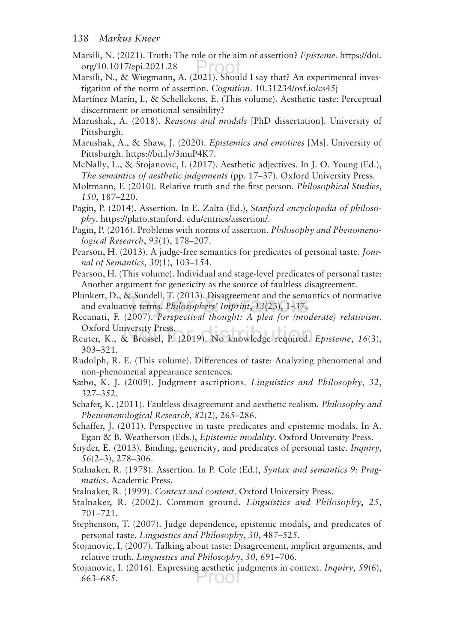- Marsili, N. (2021). Truth: The rule or the aim of assertion? *Episteme*. https://doi. org/10.1017/epi.2021.28 ∽roo:
- Marsili, N., & Wiegmann, A. (2021). Should I say that? An experimental investigation of the norm of assertion. *Cognition*. 10.31234/osf.io/cs45j
- Martínez Marín, I., & Schellekens, E. (This volume). Aesthetic taste: Perceptual discernment or emotional sensibility?
- Marushak, A. (2018). *Reasons and modals* [PhD dissertation]. University of Pittsburgh.
- Marushak, A., & Shaw, J. (2020). *Epistemics and emotives* [Ms]. University of Pittsburgh. https://bit.ly/3muP4K7.
- McNally, L., & Stojanovic, I. (2017). Aesthetic adjectives. In J. O. Young (Ed.), *The semantics of aesthetic judgements* (pp. 17–37). Oxford University Press.
- Moltmann, F. (2010). Relative truth and the first person. *Philosophical Studies*, *150*, 187–220.
- Pagin, P. (2014). Assertion. In E. Zalta (Ed.), S*tanford encyclopedia of philosophy*. https://plato.stanford. edu/entries/assertion/.
- Pagin, P. (2016). Problems with norms of assertion. *Philosophy and Phenomenological Research*, *93*(1), 178–207.
- Pearson, H. (2013). A judge-free semantics for predicates of personal taste. *Journal of Semantics*, *30*(1), 103–154.
- Pearson, H. (This volume). Individual and stage-level predicates of personal taste: Another argument for genericity as the source of faultless disagreement.
- Plunkett, D., & Sundell, T. (2013). Disagreement and the semantics of normative and evaluative terms. *Philosophers' Imprint*, *13*(23), 1–37.
- Recanati, F. (2007). *Perspectival thought: A plea for (moderate) relativism*. Oxford University Press.  $\mathcal{L}$
- Reuter, K., & Brössel, P. (2019). No knowledge required. *Episteme*, *16*(3), 303–321.
- Rudolph, R. E. (This volume). Diferences of taste: Analyzing phenomenal and non-phenomenal appearance sentences.
- Sæbø, K. J. (2009). Judgment ascriptions. *Linguistics and Philosophy*, *32*, 327–352.
- Schafer, K. (2011). Faultless disagreement and aesthetic realism. *Philosophy and Phenomenological Research*, *82*(2), 265–286.
- Schafer, J. (2011). Perspective in taste predicates and epistemic modals. In A. Egan & B. Weatherson (Eds.), *Epistemic modality*. Oxford University Press.
- Snyder, E. (2013). Binding, genericity, and predicates of personal taste. *Inquiry*, *56*(2–3), 278–306.
- Stalnaker, R. (1978). Assertion. In P. Cole (Ed.), *Syntax and semantics 9: Pragmatics*. Academic Press.
- Stalnaker, R. (1999). *Context and content*. Oxford University Press.
- Stalnaker, R. (2002). Common ground. *Linguistics and Philosophy*, *25*, 701–721.
- Stephenson, T. (2007). Judge dependence, epistemic modals, and predicates of personal taste. *Linguistics and Philosophy*, *30*, 487–525.
- Stojanovic, I. (2007). Talking about taste: Disagreement, implicit arguments, and relative truth. *Linguistics and Philosophy*, *30*, 691–706.
- Stojanovic, I. (2016). Expressing aesthetic judgments in context. *Inquiry*, *59*(6), 'roo1 663–685.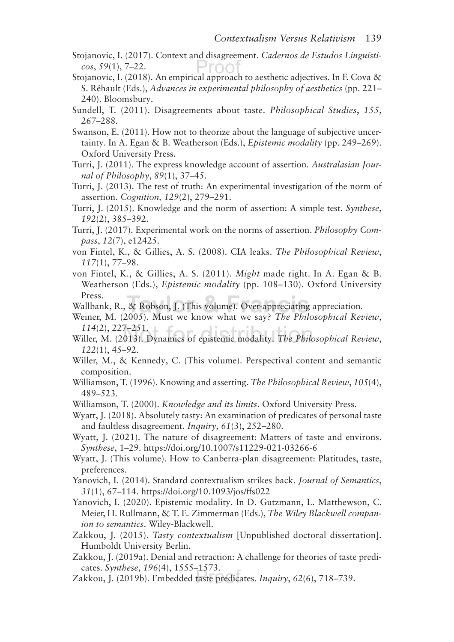- Stojanovic, I. (2017). Context and disagreement. *Cadernos de Estudos Linguísticos*, *59*(1), 7–22. -roo
- Stojanovic, I. (2018). An empirical approach to aesthetic adjectives. In F. Cova & S. Réhault (Eds.), *Advances in experimental philosophy of aesthetics* (pp. 221– 240). Bloomsbury.
- Sundell, T. (2011). Disagreements about taste. *Philosophical Studies*, *155*, 267–288.
- Swanson, E. (2011). How not to theorize about the language of subjective uncertainty. In A. Egan & B. Weatherson (Eds.), *Epistemic modality* (pp. 249–269). Oxford University Press.
- Turri, J. (2011). The express knowledge account of assertion. *Australasian Journal of Philosophy*, *89*(1), 37–45.
- Turri, J. (2013). The test of truth: An experimental investigation of the norm of assertion. *Cognition, 129*(2), 279–291.
- Turri, J. (2015). Knowledge and the norm of assertion: A simple test. *Synthese*, *192*(2), 385–392.
- Turri, J. (2017). Experimental work on the norms of assertion. *Philosophy Compass*, *12*(7), e12425.
- von Fintel, K., & Gillies, A. S. (2008). CIA leaks. *The Philosophical Review*, *117*(1), 77–98.
- von Fintel, K., & Gillies, A. S. (2011). *Might* made right. In A. Egan & B. Weatherson (Eds.), *Epistemic modality* (pp. 108–130). Oxford University Press.
- Wallbank, R., & Robson, J. (This volume). Over-appreciating appreciation.
- Weiner, M. (2005). Must we know what we say? *The Philosophical Review*, *114*(2), 227–251.
- Willer, M. (2013). Dynamics of epistemic modality. *The Philosophical Review*, *122*(1), 45–92.
- Willer, M., & Kennedy, C. (This volume). Perspectival content and semantic composition.
- Williamson, T. (1996). Knowing and asserting. *The Philosophical Review*, *105*(4), 489–523.
- Williamson, T. (2000). *Knowledge and its limits*. Oxford University Press.

Wyatt, J. (2018). Absolutely tasty: An examination of predicates of personal taste and faultless disagreement. *Inquiry*, *61*(3), 252–280.

- Wyatt, J. (2021). The nature of disagreement: Matters of taste and environs. *Synthese*, 1–29. https://doi.org/10.1007/s11229-021-03266-6
- Wyatt, J. (This volume). How to Canberra-plan disagreement: Platitudes, taste, preferences.
- Yanovich, I. (2014). Standard contextualism strikes back. *Journal of Semantics*, *31*(1), 67–114. https://doi.org/10.1093/jos/fs022
- Yanovich, I. (2020). Epistemic modality. In D. Gutzmann, L. Matthewson, C. Meier, H. Rullmann, & T. E. Zimmerman (Eds.), *The Wiley Blackwell companion to semantics*. Wiley-Blackwell.
- Zakkou, J. (2015). *Tasty contextualism* [Unpublished doctoral dissertation]. Humboldt University Berlin.
- Zakkou, J. (2019a). Denial and retraction: A challenge for theories of taste predicates. *Synthese*, *196*(4), 1555–1573.
- Zakkou, J. (2019b). Embedded taste predicates. *Inquiry*, *62*(6), 718–739.